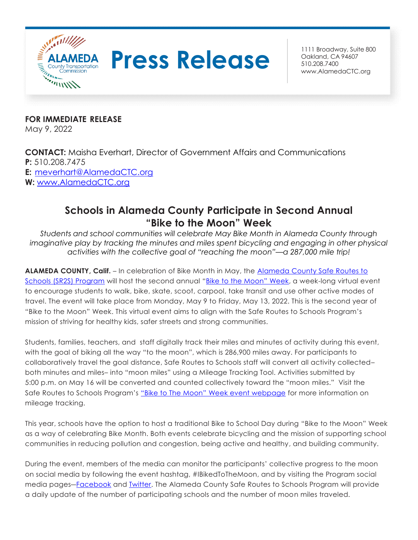

## **Press Release Building Calculate 800**

Oakland, CA 94607 510.208.7400 [www.AlamedaCTC.org](http://www.alamedactc.org/)

**FOR IMMEDIATE RELEASE** May 9, 2022

**CONTACT:** Maisha Everhart, Director of Government Affairs and Communications **P:** 510.208.7475 **E:** [meverhart@AlamedaCTC.org](mailto:meverhart@AlamedaCTC.org) **W:** [www.AlamedaCTC.org](http://www.alamedactc.org/)

## **Schools in Alameda County Participate in Second Annual "Bike to the Moon" Week**

*Students and school communities will celebrate May Bike Month in Alameda County through imaginative play by tracking the minutes and miles spent bicycling and engaging in other physical activities with the collective goal of "reaching the moon"—a 287,000 mile trip!*

**ALAMEDA COUNTY, Calif.** – In celebration of Bike Month in May, the [Alameda County Safe Routes to](https://alamedacountysr2s.org/) [Schools \(SR2S\) Program](https://alamedacountysr2s.org/) will host the second annual "[Bike to the Moon](https://alamedacountysr2s.org/our-services/plan-an-event/bike-to-school-day/)" Week, a week-long virtual event to encourage students to walk, bike, skate, scoot, carpool, take transit and use other active modes of travel. The event will take place from Monday, May 9 to Friday, May 13, 2022. This is the second year of "Bike to the Moon" Week. This virtual event aims to align with the Safe Routes to Schools Program's mission of striving for healthy kids, safer streets and strong communities.

Students, families, teachers, and staff digitally track their miles and minutes of activity during this event, with the goal of biking all the way "to the moon", which is 286,900 miles away. For participants to collaboratively travel the goal distance, Safe Routes to Schools staff will convert all activity collected– both minutes and miles– into "moon miles" using a Mileage Tracking Tool. Activities submitted by 5:00 p.m. on May 16 will be converted and counted collectively toward the "moon miles." Visit the Safe Routes to Schools Program's "Bike to The Moon" [Week event webpage](https://alamedacountysr2s.org/our-services/plan-an-event/bike-to-school-day/) for more information on mileage tracking.

This year, schools have the option to host a traditional Bike to School Day during "Bike to the Moon" Week as a way of celebrating Bike Month. Both events celebrate bicycling and the mission of supporting school communities in reducing pollution and congestion, being active and healthy, and building community.

During the event, members of the media can monitor the participants' collective progress to the moon on social media by following the event hashtag, #IBikedToTheMoon, and by visiting the Program social media pages―[Facebook](https://www.facebook.com/saferoutestoschool/) and [Twitter.](https://twitter.com/alamedacosr2s) The Alameda County Safe Routes to Schools Program will provide a daily update of the number of participating schools and the number of moon miles traveled.